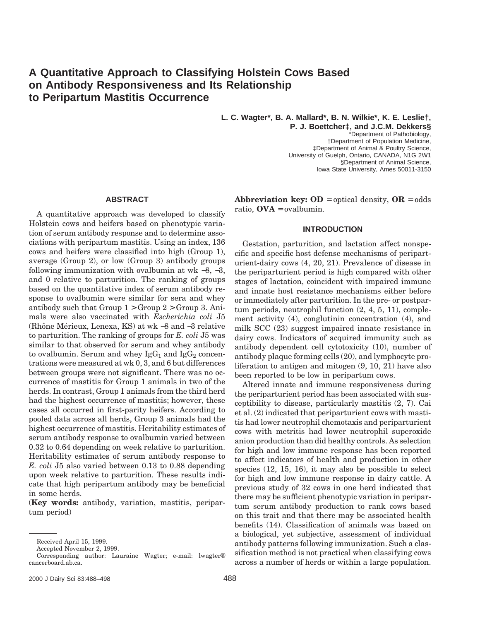# **A Quantitative Approach to Classifying Holstein Cows Based on Antibody Responsiveness and Its Relationship to Peripartum Mastitis Occurrence**

**L. C. Wagter\*, B. A. Mallard\*, B. N. Wilkie\*, K. E. Leslie†,**

**P. J. Boettcher‡, and J.C.M. Dekkers§** \*Department of Pathobiology, †Department of Population Medicine, ‡Department of Animal & Poultry Science, University of Guelph, Ontario, CANADA, N1G 2W1 §Department of Animal Science, Iowa State University, Ames 50011-3150

# **ABSTRACT**

A quantitative approach was developed to classify Holstein cows and heifers based on phenotypic variation of serum antibody response and to determine associations with peripartum mastitis. Using an index, 136 cows and heifers were classified into high (Group 1), average (Group 2), or low (Group 3) antibody groups following immunization with ovalbumin at wk  $-8$ ,  $-3$ , and 0 relative to parturition. The ranking of groups based on the quantitative index of serum antibody response to ovalbumin were similar for sera and whey antibody such that Group  $1 >$  Group  $2 >$  Group 3. Animals were also vaccinated with *Escherichia coli* J5 (Rhône Mérieux, Lenexa, KS) at wk –8 and –3 relative to parturition. The ranking of groups for *E. coli* J5 was similar to that observed for serum and whey antibody to ovalbumin. Serum and whey  $IgG_1$  and  $IgG_2$  concentrations were measured at wk 0, 3, and 6 but differences between groups were not significant. There was no occurrence of mastitis for Group 1 animals in two of the herds. In contrast, Group 1 animals from the third herd had the highest occurrence of mastitis; however, these cases all occurred in first-parity heifers. According to pooled data across all herds, Group 3 animals had the highest occurrence of mastitis. Heritability estimates of serum antibody response to ovalbumin varied between 0.32 to 0.64 depending on week relative to parturition. Heritability estimates of serum antibody response to *E. coli* J5 also varied between 0.13 to 0.88 depending upon week relative to parturition. These results indicate that high peripartum antibody may be beneficial in some herds.

(**Key words:** antibody, variation, mastitis, peripartum period)

**Abbreviation key: OD** = optical density,  $OR = odds$ ratio,  $OVA = \text{ovalbumin}$ .

# **INTRODUCTION**

Gestation, parturition, and lactation affect nonspecific and specific host defense mechanisms of periparturient-dairy cows (4, 20, 21). Prevalence of disease in the periparturient period is high compared with other stages of lactation, coincident with impaired immune and innate host resistance mechanisms either before or immediately after parturition. In the pre- or postpartum periods, neutrophil function (2, 4, 5, 11), complement activity (4), conglutinin concentration (4), and milk SCC (23) suggest impaired innate resistance in dairy cows. Indicators of acquired immunity such as antibody dependent cell cytotoxicity (10), number of antibody plaque forming cells (20), and lymphocyte proliferation to antigen and mitogen (9, 10, 21) have also been reported to be low in peripartum cows.

Altered innate and immune responsiveness during the periparturient period has been associated with susceptibility to disease, particularly mastitis (2, 7). Cai et al. (2) indicated that periparturient cows with mastitis had lower neutrophil chemotaxis and periparturient cows with metritis had lower neutrophil superoxide anion production than did healthy controls. As selection for high and low immune response has been reported to affect indicators of health and production in other species (12, 15, 16), it may also be possible to select for high and low immune response in dairy cattle. A previous study of 32 cows in one herd indicated that there may be sufficient phenotypic variation in peripartum serum antibody production to rank cows based on this trait and that there may be associated health benefits (14). Classification of animals was based on a biological, yet subjective, assessment of individual antibody patterns following immunization. Such a classification method is not practical when classifying cows across a number of herds or within a large population.

Received April 15, 1999.

Accepted November 2, 1999.

Corresponding author: Lauraine Wagter; e-mail: lwagter@ cancerboard.ab.ca.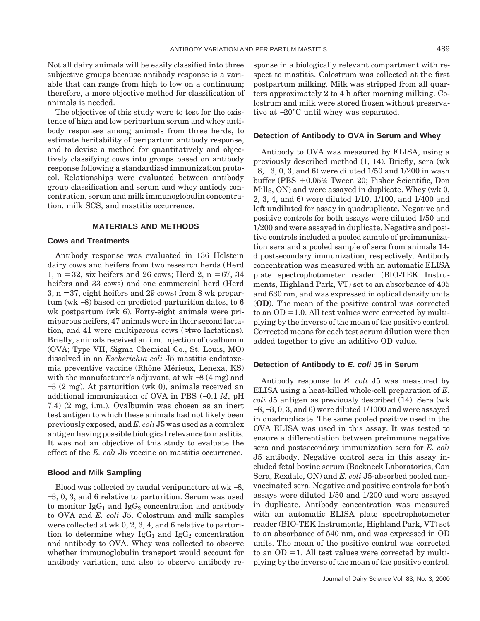Not all dairy animals will be easily classified into three subjective groups because antibody response is a variable that can range from high to low on a continuum; therefore, a more objective method for classification of animals is needed.

The objectives of this study were to test for the existence of high and low peripartum serum and whey antibody responses among animals from three herds, to estimate heritability of peripartum antibody response, and to devise a method for quantitatively and objectively classifying cows into groups based on antibody response following a standardized immunization protocol. Relationships were evaluated between antibody group classification and serum and whey antiody concentration, serum and milk immunoglobulin concentration, milk SCS, and mastitis occurrence.

# **MATERIALS AND METHODS**

# **Cows and Treatments**

Antibody response was evaluated in 136 Holstein dairy cows and heifers from two research herds (Herd 1,  $n = 32$ , six heifers and 26 cows; Herd 2,  $n = 67, 34$ heifers and 33 cows) and one commercial herd (Herd 3, n = 37, eight heifers and 29 cows) from 8 wk prepartum (wk −8) based on predicted parturition dates, to 6 wk postpartum (wk 6). Forty-eight animals were primiparous heifers, 47 animals were in their second lactation, and 41 were multiparous cows (>two lactations). Briefly, animals received an i.m. injection of ovalbumin (OVA; Type VII, Sigma Chemical Co., St. Louis, MO) dissolved in an *Escherichia coli* J5 mastitis endotoxemia preventive vaccine (Rhône Mérieux, Lenexa, KS) with the manufacturer's adjuvant, at wk −8 (4 mg) and −3 (2 mg). At parturition (wk 0), animals received an additional immunization of OVA in PBS (−0.1 *M*, pH 7.4) (2 mg, i.m.). Ovalbumin was chosen as an inert test antigen to which these animals had not likely been previously exposed, and *E. coli* J5 was used as a complex antigen having possible biological relevance to mastitis. It was not an objective of this study to evaluate the effect of the *E. coli* J5 vaccine on mastitis occurrence.

#### **Blood and Milk Sampling**

Blood was collected by caudal venipuncture at wk −8, −3, 0, 3, and 6 relative to parturition. Serum was used to monitor  $IgG_1$  and  $IgG_2$  concentration and antibody to OVA and *E. coli* J5. Colostrum and milk samples were collected at wk 0, 2, 3, 4, and 6 relative to parturition to determine whey  $IgG_1$  and  $IgG_2$  concentration and antibody to OVA. Whey was collected to observe whether immunoglobulin transport would account for antibody variation, and also to observe antibody response in a biologically relevant compartment with respect to mastitis. Colostrum was collected at the first postpartum milking. Milk was stripped from all quarters approximately 2 to 4 h after morning milking. Colostrum and milk were stored frozen without preservative at −20°C until whey was separated.

# **Detection of Antibody to OVA in Serum and Whey**

Antibody to OVA was measured by ELISA, using a previously described method (1, 14). Briefly, sera (wk −8, −3, 0, 3, and 6) were diluted 1/50 and 1/200 in wash buffer (PBS + 0.05% Tween 20; Fisher Scientific, Don Mills, ON) and were assayed in duplicate. Whey (wk 0, 2, 3, 4, and 6) were diluted 1/10, 1/100, and 1/400 and left undiluted for assay in quadruplicate. Negative and positive controls for both assays were diluted 1/50 and 1/200 and were assayed in duplicate. Negative and positive controls included a pooled sample of preimmunization sera and a pooled sample of sera from animals 14 d postsecondary immunization, respectively. Antibody concentration was measured with an automatic ELISA plate spectrophotometer reader (BIO-TEK Instruments, Highland Park, VT) set to an absorbance of 405 and 630 nm, and was expressed in optical density units (**OD**). The mean of the positive control was corrected to an  $OD = 1.0$ . All test values were corrected by multiplying by the inverse of the mean of the positive control. Corrected means for each test serum dilution were then added together to give an additive OD value.

# **Detection of Antibody to E. coli J5 in Serum**

Antibody response to *E. coli* J5 was measured by ELISA using a heat-killed whole-cell preparation of *E. coli* J5 antigen as previously described (14). Sera (wk −8, −3, 0, 3, and 6) were diluted 1/1000 and were assayed in quadruplicate. The same pooled positive used in the OVA ELISA was used in this assay. It was tested to ensure a differentiation between preimmune negative sera and postsecondary immunization sera for *E. coli* J5 antibody. Negative control sera in this assay included fetal bovine serum (Bockneck Laboratories, Can Sera, Rexdale, ON) and *E. coli* J5-absorbed pooled nonvaccinated sera. Negative and positive controls for both assays were diluted 1/50 and 1/200 and were assayed in duplicate. Antibody concentration was measured with an automatic ELISA plate spectrophotometer reader (BIO-TEK Instruments, Highland Park, VT) set to an absorbance of 540 nm, and was expressed in OD units. The mean of the positive control was corrected to an  $OD = 1$ . All test values were corrected by multiplying by the inverse of the mean of the positive control.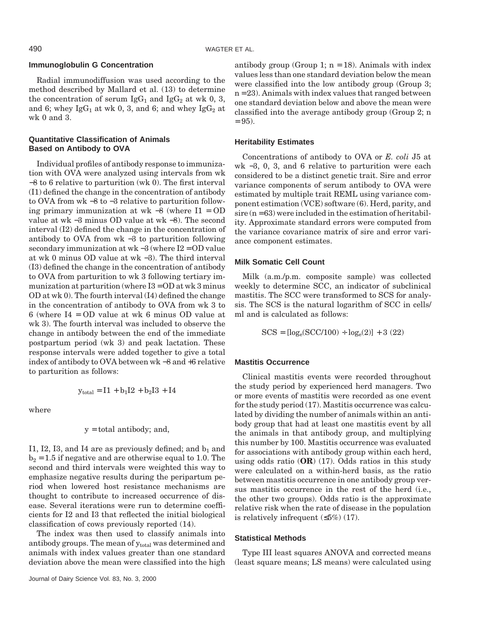# **Immunoglobulin G Concentration**

Radial immunodiffusion was used according to the method described by Mallard et al. (13) to determine the concentration of serum IgG<sub>1</sub> and IgG<sub>2</sub> at wk 0, 3, and 6; whey Ig $G_1$  at wk 0, 3, and 6; and whey Ig $G_2$  at wk 0 and 3.

# **Quantitative Classification of Animals Based on Antibody to OVA**

Individual profiles of antibody response to immunization with OVA were analyzed using intervals from wk −8 to 6 relative to parturition (wk 0). The first interval (I1) defined the change in the concentration of antibody to OVA from wk −8 to −3 relative to parturition following primary immunization at wk −8 (where I1 = OD value at wk −3 minus OD value at wk −8). The second interval (I2) defined the change in the concentration of antibody to OVA from wk −3 to parturition following secondary immunization at wk −3 (where I2 = OD value at wk 0 minus OD value at wk −3). The third interval (I3) defined the change in the concentration of antibody to OVA from parturition to wk 3 following tertiary immunization at parturition (where  $I3 = OD$  at wk 3 minus OD at wk 0). The fourth interval (I4) defined the change in the concentration of antibody to OVA from wk 3 to 6 (where I4 = OD value at wk 6 minus OD value at wk 3). The fourth interval was included to observe the change in antibody between the end of the immediate postpartum period (wk 3) and peak lactation. These response intervals were added together to give a total index of antibody to OVA between wk −8 and +6 relative to parturition as follows:

$$
y_{total} = I1 + b_1 I2 + b_2 I3 + I4
$$

where

$$
y = total\,\,ant, and,
$$

I1, I2, I3, and I4 are as previously defined; and  $b_1$  and  $b_2 = 1.5$  if negative and are otherwise equal to 1.0. The second and third intervals were weighted this way to emphasize negative results during the peripartum period when lowered host resistance mechanisms are thought to contribute to increased occurrence of disease. Several iterations were run to determine coefficients for I2 and I3 that reflected the initial biological classification of cows previously reported (14).

The index was then used to classify animals into antibody groups. The mean of  $y_{total}$  was determined and animals with index values greater than one standard deviation above the mean were classified into the high

antibody group (Group 1;  $n = 18$ ). Animals with index values less than one standard deviation below the mean were classified into the low antibody group (Group 3;  $n = 23$ . Animals with index values that ranged between one standard deviation below and above the mean were classified into the average antibody group (Group 2; n  $= 95$ ).

# **Heritability Estimates**

Concentrations of antibody to OVA or *E. coli* J5 at wk −3, 0, 3, and 6 relative to parturition were each considered to be a distinct genetic trait. Sire and error variance components of serum antibody to OVA were estimated by multiple trait REML using variance component estimation (VCE) software (6). Herd, parity, and  $sire (n = 63)$  were included in the estimation of heritability. Approximate standard errors were computed from the variance covariance matrix of sire and error variance component estimates.

# **Milk Somatic Cell Count**

Milk (a.m./p.m. composite sample) was collected weekly to determine SCC, an indicator of subclinical mastitis. The SCC were transformed to SCS for analysis. The SCS is the natural logarithm of SCC in cells/ ml and is calculated as follows:

$$
SCS = [log_e(SCC/100) \div log_e(2)] + 3 (22)
$$

# **Mastitis Occurrence**

Clinical mastitis events were recorded throughout the study period by experienced herd managers. Two or more events of mastitis were recorded as one event for the study period (17). Mastitis occurrence was calculated by dividing the number of animals within an antibody group that had at least one mastitis event by all the animals in that antibody group, and multiplying this number by 100. Mastitis occurrence was evaluated for associations with antibody group within each herd, using odds ratio (**OR**) (17). Odds ratios in this study were calculated on a within-herd basis, as the ratio between mastitis occurrence in one antibody group versus mastitis occurrence in the rest of the herd (i.e., the other two groups). Odds ratio is the approximate relative risk when the rate of disease in the population is relatively infrequent  $(\leq 5\%)$  (17).

# **Statistical Methods**

Type III least squares ANOVA and corrected means (least square means; LS means) were calculated using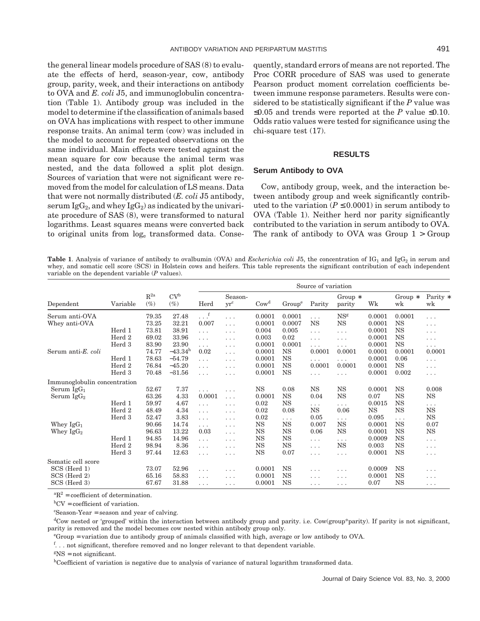the general linear models procedure of SAS (8) to evaluate the effects of herd, season-year, cow, antibody group, parity, week, and their interactions on antibody to OVA and *E. coli* J5, and immunoglobulin concentration (Table 1). Antibody group was included in the model to determine if the classification of animals based on OVA has implications with respect to other immune response traits. An animal term (cow) was included in the model to account for repeated observations on the same individual. Main effects were tested against the mean square for cow because the animal term was nested, and the data followed a split plot design. Sources of variation that were not significant were removed from the model for calculation of LS means. Data that were not normally distributed (*E. coli* J5 antibody, serum Ig $G_2$ , and whey Ig $G_2$ ) as indicated by the univariate procedure of SAS (8), were transformed to natural logarithms. Least squares means were converted back to original units from loge transformed data. Consequently, standard errors of means are not reported. The Proc CORR procedure of SAS was used to generate Pearson product moment correlation coefficients between immune response parameters. Results were considered to be statistically significant if the *P* value was ≤0.05 and trends were reported at the *P* value ≤0.10. Odds ratio values were tested for significance using the chi-square test (17).

# **RESULTS**

#### **Serum Antibody to OVA**

Cow, antibody group, week, and the interaction between antibody group and week significantly contributed to the variation ( $P \leq 0.0001$ ) in serum antibody to OVA (Table 1). Neither herd nor parity significantly contributed to the variation in serum antibody to OVA. The rank of antibody to OVA was Group  $1 >$  Group

**Table 1**. Analysis of variance of antibody to ovalbumin (OVA) and *Escherichia coli* J5, the concentration of  $IG_1$  and  $IGG_2$  in serum and whey, and somatic cell score (SCS) in Holstein cows and heifers. This table represents the significant contribution of each independent variable on the dependent variable (*P* values).

|                              | Variable | $R^{2a}$<br>$(\%)$ | CV <sup>b</sup><br>$(\%)$ | Source of variation |                   |                             |                    |           |                     |        |                 |                |
|------------------------------|----------|--------------------|---------------------------|---------------------|-------------------|-----------------------------|--------------------|-----------|---------------------|--------|-----------------|----------------|
| Dependent                    |          |                    |                           | Herd                | Season-<br>$yr^c$ | $\mathrm{Cow}^{\mathrm{d}}$ | Group <sup>e</sup> | Parity    | Group $*$<br>parity | Wk     | Group $*$<br>wk | Parity *<br>wk |
| Serum anti-OVA               |          | 79.35              | 27.48                     | $\cdot$ . $\cdot$   | .                 | 0.0001                      | 0.0001             | .         | NS <sup>g</sup>     | 0.0001 | 0.0001          | .              |
| Whey anti-OVA                |          | 73.25              | 32.21                     | 0.007               | $\cdots$          | 0.0001                      | 0.0007             | <b>NS</b> | <b>NS</b>           | 0.0001 | <b>NS</b>       | .              |
|                              | Herd 1   | 73.81              | 38.91                     | .                   | .                 | 0.004                       | 0.005              | $\ldots$  | $\cdots$            | 0.0001 | <b>NS</b>       | .              |
|                              | Herd 2   | 69.02              | 33.96                     | .                   | $\cdots$          | 0.003                       | 0.02               | .         | .                   | 0.0001 | $_{\rm NS}$     | .              |
|                              | Herd 3   | 83.90              | 23.90                     | .                   | $\cdots$          | 0.0001                      | 0.0001             | .         | .                   | 0.0001 | $_{\rm NS}$     | .              |
| Serum anti-E. coli           |          | 74.77              | $-43.34h$                 | 0.02                | $\cdots$          | 0.0001                      | NS                 | 0.0001    | 0.0001              | 0.0001 | 0.0001          | 0.0001         |
|                              | Herd 1   | 78.63              | $-54.79$                  | .                   | .                 | 0.0001                      | <b>NS</b>          | .         | .                   | 0.0001 | 0.06            | .              |
|                              | Herd 2   | 76.84              | $-45.20$                  | .                   | .                 | 0.0001                      | <b>NS</b>          | 0.0001    | 0.0001              | 0.0001 | $_{\rm NS}$     | .              |
|                              | Herd 3   | 70.48              | $-31.56$                  | .                   | .                 | 0.0001                      | <b>NS</b>          | .         | $\cdots$            | 0.0001 | 0.002           | .              |
| Immunoglobulin concentration |          |                    |                           |                     |                   |                             |                    |           |                     |        |                 |                |
| Serum $IgG_1$                |          | 52.67              | 7.37                      | .                   | .                 | $_{\rm NS}$                 | 0.08               | <b>NS</b> | $_{\rm NS}$         | 0.0001 | NS              | 0.008          |
| Serum $IgG_2$                |          | 63.26              | 4.33                      | 0.0001              | $\cdots$          | 0.0001                      | NS                 | 0.04      | <b>NS</b>           | 0.07   | $_{\rm NS}$     | NS             |
|                              | Herd 1   | 59.97              | 4.67                      | .                   | .                 | 0.02                        | <b>NS</b>          | .         | $\cdots$            | 0.0015 | $_{\rm NS}$     | .              |
|                              | Herd 2   | 48.49              | 4.34                      | .                   | .                 | 0.02                        | 0.08               | <b>NS</b> | 0.06                | NS     | $_{\rm NS}$     | $_{\rm NS}$    |
|                              | Herd 3   | 52.47              | 3.83                      | .                   | $\cdots$          | 0.02                        | .                  | 0.05      | .                   | 0.095  | .               | $_{\rm NS}$    |
| Whey $IgG_1$                 |          | 90.66              | 14.74                     | .                   | .                 | <b>NS</b>                   | <b>NS</b>          | 0.007     | <b>NS</b>           | 0.0001 | $_{\rm NS}$     | 0.07           |
| Whey $\text{IgG}_2$          |          | 96.63              | 13.22                     | 0.03                | .                 | $_{\rm NS}$                 | <b>NS</b>          | 0.06      | <b>NS</b>           | 0.0001 | $_{\rm NS}$     | $_{\rm NS}$    |
|                              | Herd 1   | 94.85              | 14.96                     | $\cdots$            | .                 | NS                          | NS                 | .         | .                   | 0.0009 | <b>NS</b>       | .              |
|                              | Herd 2   | 98.94              | 8.36                      | .                   | $\cdots$          | NS                          | NS                 | .         | $_{\rm NS}$         | 0.003  | NS              | .              |
|                              | Herd 3   | 97.44              | 12.63                     | .                   | .                 | <b>NS</b>                   | 0.07               | .         | .                   | 0.0001 | <b>NS</b>       | .              |
| Somatic cell score           |          |                    |                           |                     |                   |                             |                    |           |                     |        |                 |                |
| SCS (Herd 1)                 |          | 73.07              | 52.96                     | .                   | .                 | 0.0001                      | NS                 | .         | .                   | 0.0009 | <b>NS</b>       | .              |
| SCS (Herd 2)                 |          | 65.16              | 58.83                     | .                   | .                 | 0.0001                      | NS                 | .         | .                   | 0.0001 | NS              | .              |
| SCS (Herd 3)                 |          | 67.67              | 31.88                     | .                   | .                 | 0.0001                      | <b>NS</b>          | .         | .                   | 0.07   | $_{\rm NS}$     | $\cdots$       |

 ${}^{\text{a}}\mathbf{R}^2$  = coefficient of determination.

b CV = coefficient of variation.

c Season-Year = season and year of calving.

<sup>d</sup>Cow nested or 'grouped' within the interaction between antibody group and parity. i.e. Cow(group\*parity). If parity is not significant, parity is removed and the model becomes cow nested within antibody group only.

e Group = variation due to antibody group of animals classified with high, average or low antibody to OVA.

f... not significant, therefore removed and no longer relevant to that dependent variable.

 $SNS = not significant.$ 

hCoefficient of variation is negative due to analysis of variance of natural logarithm transformed data.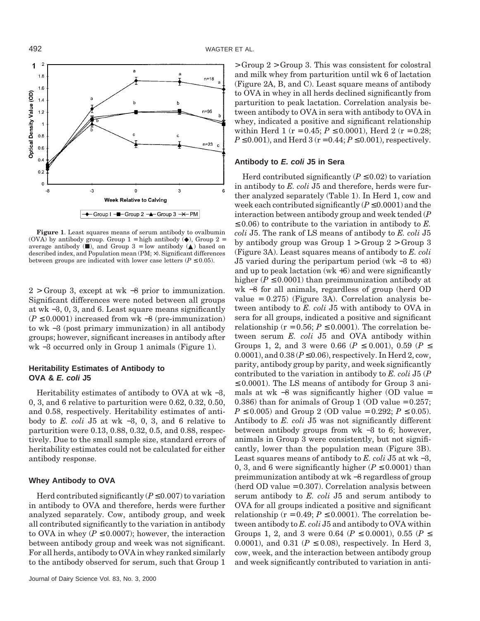

**Figure 1**. Least squares means of serum antibody to ovalbumin (OVA) by antibody group. Group  $1 =$  high antibody  $(•)$ , Group  $2 =$ average antibody  $(\blacksquare)$ , and Group 3 = low antibody  $(\blacktriangle)$  based on described index, and Population mean (PM; ×). Significant differences between groups are indicated with lower case letters ( $P \leq 0.05$ ).

2 > Group 3, except at wk −8 prior to immunization. Significant differences were noted between all groups at wk −3, 0, 3, and 6. Least square means significantly  $(P \leq 0.0001)$  increased from wk –8 (pre-immunization) to wk −3 (post primary immunization) in all antibody groups; however, significant increases in antibody after wk −3 occurred only in Group 1 animals (Figure 1).

# **Heritability Estimates of Antibody to OVA & E. coli J5**

Heritability estimates of antibody to OVA at wk −3, 0, 3, and 6 relative to parturition were 0.62, 0.32, 0.50, and 0.58, respectively. Heritability estimates of antibody to *E. coli* J5 at wk −3, 0, 3, and 6 relative to parturition were 0.13, 0.88, 0.32, 0.5, and 0.88, respectively. Due to the small sample size, standard errors of heritability estimates could not be calculated for either antibody response.

# **Whey Antibody to OVA**

Herd contributed significantly  $(P \le 0.007)$  to variation in antibody to OVA and therefore, herds were further analyzed separately. Cow, antibody group, and week all contributed significantly to the variation in antibody to OVA in whey ( $P \leq 0.0007$ ); however, the interaction between antibody group and week was not significant. For all herds, antibody to OVA in whey ranked similarly to the antibody observed for serum, such that Group 1 > Group 2 > Group 3. This was consistent for colostral and milk whey from parturition until wk 6 of lactation (Figure 2A, B, and C). Least square means of antibody to OVA in whey in all herds declined significantly from parturition to peak lactation. Correlation analysis between antibody to OVA in sera with antibody to OVA in whey, indicated a positive and significant relationship within Herd 1 ( $r = 0.45$ ;  $P \le 0.0001$ ), Herd 2 ( $r = 0.28$ ;  $P \le 0.001$ , and Herd 3 ( $r = 0.44$ ;  $P \le 0.001$ ), respectively.

# **Antibody to E. coli J5 in Sera**

Herd contributed significantly  $(P \le 0.02)$  to variation in antibody to *E. coli* J5 and therefore, herds were further analyzed separately (Table 1). In Herd 1, cow and week each contributed significantly  $(P \le 0.0001)$  and the interaction between antibody group and week tended (*P*  $\leq$  0.06) to contribute to the variation in antibody to *E*. *coli* J5. The rank of LS means of antibody to *E. coli* J5 by antibody group was Group  $1 >$  Group  $2 >$  Group 3 (Figure 3A). Least squares means of antibody to *E. coli* J5 varied during the peripartum period (wk −3 to +3) and up to peak lactation  $(wk+6)$  and were significantly higher  $(P \le 0.0001)$  than preimmunization antibody at wk −8 for all animals, regardless of group (herd OD value = 0.275) (Figure 3A). Correlation analysis between antibody to *E. coli* J5 with antibody to OVA in sera for all groups, indicated a positive and significant relationship ( $r = 0.56$ ;  $P \le 0.0001$ ). The correlation between serum *E. coli* J5 and OVA antibody within Groups 1, 2, and 3 were 0.66 ( $P \le 0.001$ ), 0.59 ( $P \le$ 0.0001), and  $0.38 (P \le 0.06)$ , respectively. In Herd 2, cow, parity, antibody group by parity, and week significantly contributed to the variation in antibody to *E. coli* J5 (*P*  $\leq$  0.0001). The LS means of antibody for Group 3 animals at wk  $-8$  was significantly higher (OD value = 0.386) than for animals of Group 1 (OD value  $= 0.257$ ; *P* ≤ 0.005) and Group 2 (OD value = 0.292; *P* ≤ 0.05). Antibody to *E. coli* J5 was not significantly different between antibody groups from wk −3 to 6; however, animals in Group 3 were consistently, but not significantly, lower than the population mean (Figure 3B). Least squares means of antibody to *E. coli* J5 at wk −3, 0, 3, and 6 were significantly higher  $(P \le 0.0001)$  than preimmunization antibody at wk −8 regardless of group (herd OD value = 0.307). Correlation analysis between serum antibody to *E. coli* J5 and serum antibody to OVA for all groups indicated a positive and significant relationship ( $r = 0.49$ ;  $P \le 0.0001$ ). The correlation between antibody to *E. coli* J5 and antibody to OVA within Groups 1, 2, and 3 were 0.64 ( $P \le 0.0001$ ), 0.55 ( $P \le$ 0.0001), and 0.31 ( $P \le 0.08$ ), respectively. In Herd 3, cow, week, and the interaction between antibody group and week significantly contributed to variation in anti-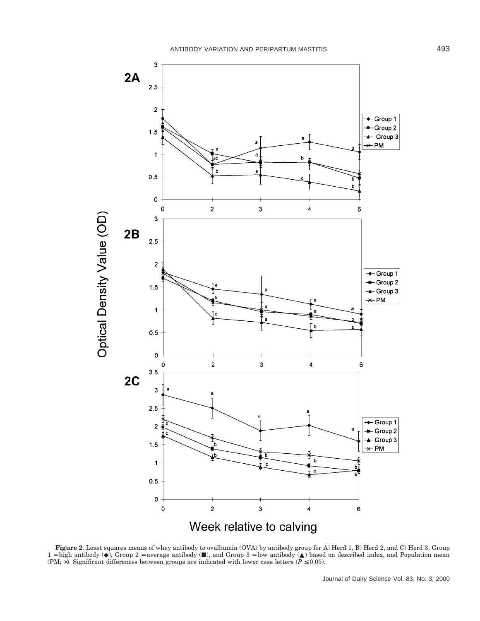

**Figure 2**. Least squares means of whey antibody to ovalbumin (OVA) by antibody group for A) Herd 1, B) Herd 2, and C) Herd 3. Group  $1 =$  high antibody ( $\bullet$ ), Group 2 = average antibody ( $\blacksquare$ ), and Group 3 = low antibody ( $\blacktriangle$ ) based on described index, and Population mean (PM;  $\times$ ). Significant differences between groups are indicated with lower case letters ( $P \le 0.05$ ).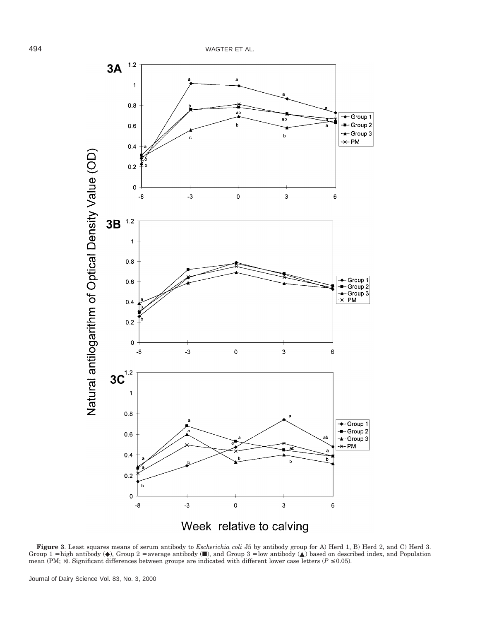

**Figure 3.** Least squares means of serum antibody to *Escherichia coli* J5 by antibody group for A) Herd 1, B) Herd 2, and C) Herd 3. Group  $1 =$  high antibody ( $\bullet$ ), Group  $2 =$  average antibody ( $\blacksquare$ ), and Group  $3 =$  l mean (PM;  $\times$ ). Significant differences between groups are indicated with different lower case letters ( $P \le 0.05$ ).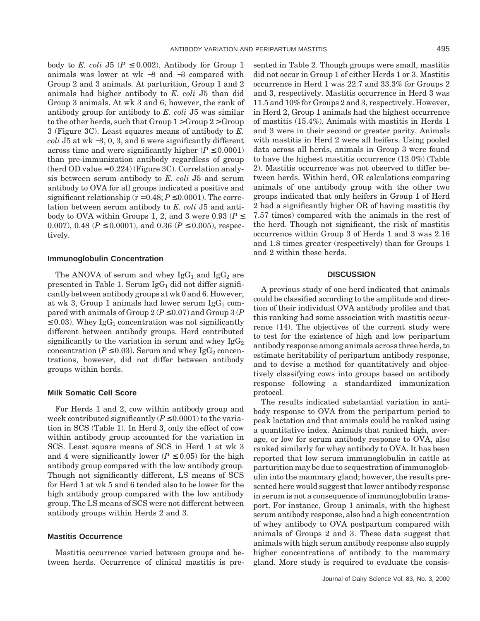body to *E. coli* J5 ( $P \le 0.002$ ). Antibody for Group 1 animals was lower at wk −8 and −3 compared with Group 2 and 3 animals. At parturition, Group 1 and 2 animals had higher antibody to *E. coli* J5 than did Group 3 animals. At wk 3 and 6, however, the rank of antibody group for antibody to *E. coli* J5 was similar to the other herds, such that Group  $1 > G$ roup  $2 > G$ roup 3 (Figure 3C). Least squares means of antibody to *E. coli* J5 at wk −3, 0, 3, and 6 were significantly different across time and were significantly higher  $(P \le 0.0001)$ than pre-immunization antibody regardless of group  $(herd OD value = 0.224)$  (Figure 3C). Correlation analysis between serum antibody to *E. coli* J5 and serum antibody to OVA for all groups indicated a positive and significant relationship  $(r = 0.48; P \le 0.0001)$ . The correlation between serum antibody to *E. coli* J5 and antibody to OVA within Groups 1, 2, and 3 were 0.93 ( $P \leq$ 0.007), 0.48 ( $P \le 0.0001$ ), and 0.36 ( $P \le 0.005$ ), respectively.

#### **Immunoglobulin Concentration**

The ANOVA of serum and whey  $IgG_1$  and  $IgG_2$  are presented in Table 1. Serum  $\lg G_1$  did not differ significantly between antibody groups at wk 0 and 6. However, at wk 3, Group 1 animals had lower serum  $\lg G_1$  compared with animals of Group  $2 (P \le 0.07)$  and Group  $3 (P \le 0.07)$  $\leq$  0.03). Whey IgG<sub>1</sub> concentration was not significantly different between antibody groups. Herd contributed significantly to the variation in serum and whey  $IgG_2$ concentration ( $P \le 0.03$ ). Serum and whey IgG<sub>2</sub> concentrations, however, did not differ between antibody groups within herds.

# **Milk Somatic Cell Score**

For Herds 1 and 2, cow within antibody group and week contributed significantly  $(P \le 0.0001)$  to the variation in SCS (Table 1). In Herd 3, only the effect of cow within antibody group accounted for the variation in SCS. Least square means of SCS in Herd 1 at wk 3 and 4 were significantly lower ( $P \leq 0.05$ ) for the high antibody group compared with the low antibody group. Though not significantly different, LS means of SCS for Herd 1 at wk 5 and 6 tended also to be lower for the high antibody group compared with the low antibody group. The LS means of SCS were not different between antibody groups within Herds 2 and 3.

# **Mastitis Occurrence**

Mastitis occurrence varied between groups and between herds. Occurrence of clinical mastitis is presented in Table 2. Though groups were small, mastitis did not occur in Group 1 of either Herds 1 or 3. Mastitis occurrence in Herd 1 was 22.7 and 33.3% for Groups 2 and 3, respectively. Mastitis occurrence in Herd 3 was 11.5 and 10% for Groups 2 and 3, respectively. However, in Herd 2, Group 1 animals had the highest occurrence of mastitis (15.4%). Animals with mastitis in Herds 1 and 3 were in their second or greater parity. Animals with mastitis in Herd 2 were all heifers. Using pooled data across all herds, animals in Group 3 were found to have the highest mastitis occurrence (13.0%) (Table 2). Mastitis occurrence was not observed to differ between herds. Within herd, OR calculations comparing animals of one antibody group with the other two groups indicated that only heifers in Group 1 of Herd 2 had a significantly higher OR of having mastitis (by 7.57 times) compared with the animals in the rest of the herd. Though not significant, the risk of mastitis occurrence within Group 3 of Herds 1 and 3 was 2.16 and 1.8 times greater (respectively) than for Groups 1 and 2 within those herds.

# **DISCUSSION**

A previous study of one herd indicated that animals could be classified according to the amplitude and direction of their individual OVA antibody profiles and that this ranking had some association with mastitis occurrence (14). The objectives of the current study were to test for the existence of high and low peripartum antibody response among animals across three herds, to estimate heritability of peripartum antibody response, and to devise a method for quantitatively and objectively classifying cows into groups based on antibody response following a standardized immunization protocol.

The results indicated substantial variation in antibody response to OVA from the peripartum period to peak lactation and that animals could be ranked using a quantitative index. Animals that ranked high, average, or low for serum antibody response to OVA, also ranked similarly for whey antibody to OVA. It has been reported that low serum immunoglobulin in cattle at parturition may be due to sequestration of immunoglobulin into the mammary gland; however, the results presented here would suggest that lower antibody response in serum is not a consequence of immunoglobulin transport. For instance, Group 1 animals, with the highest serum antibody response, also had a high concentration of whey antibody to OVA postpartum compared with animals of Groups 2 and 3. These data suggest that animals with high serum antibody response also supply higher concentrations of antibody to the mammary gland. More study is required to evaluate the consis-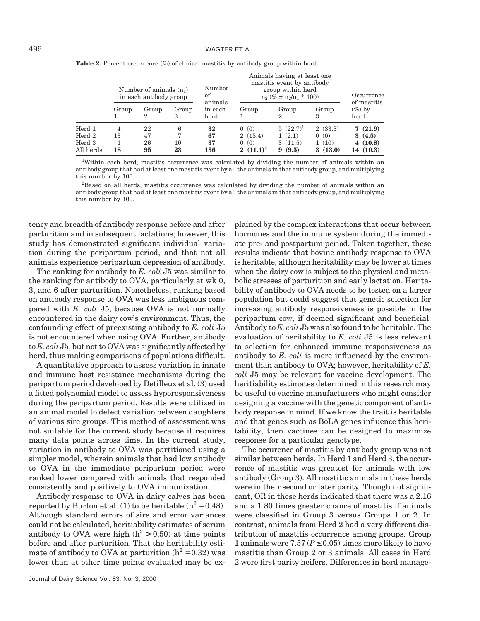|                     | Number of animals $(n_1)$<br>in each antibody group |            |            | Number<br>of               | Animals having at least one<br>mastitis event by antibody<br>group within herd<br>$n_2$ (% = $n_2/n_1 * 100$ ) | Occurrence<br>of mastitis |                  |                   |  |
|---------------------|-----------------------------------------------------|------------|------------|----------------------------|----------------------------------------------------------------------------------------------------------------|---------------------------|------------------|-------------------|--|
|                     | Group                                               | Group<br>2 | Group<br>з | animals<br>in each<br>herd | Group                                                                                                          | Group<br>2                | Group<br>3       | $(\%)$ by<br>herd |  |
| $\rm Herd\ 1$       | 4                                                   | 22         | 6<br>7     | 32                         | 0(0)                                                                                                           | $5(22.7)^1$               | 2(33.3)          | 7(21.9)           |  |
| $\rm Herd\ 2$       | 13                                                  | 47         |            | 67                         | 2(15.4)                                                                                                        | 1(2.1)                    | 0(0)             | 3(4.5)            |  |
| Herd 3<br>All herds | 18                                                  | 26<br>95   | 10<br>23   | 37<br>136                  | 0(0)<br>2 $(11.1)^2$                                                                                           | 3(11.5)<br>(9.5)<br>9     | 1(10)<br>3(13.0) | 4(10.8)           |  |
|                     |                                                     |            |            |                            |                                                                                                                |                           |                  | 14 (10.3)         |  |

**Table 2**. Percent occurrence (%) of clinical mastitis by antibody group within herd.

<sup>1</sup>Within each herd, mastitis occurrence was calculated by dividing the number of animals within an antibody group that had at least one mastitis event by all the animals in that antibody group, and multiplying this number by 100.

<sup>2</sup>Based on all herds, mastitis occurrence was calculated by dividing the number of animals within an antibody group that had at least one mastitis event by all the animals in that antibody group, and multiplying this number by 100.

tency and breadth of antibody response before and after parturition and in subsequent lactations; however, this study has demonstrated significant individual variation during the peripartum period, and that not all animals experience peripartum depression of antibody.

The ranking for antibody to *E. coli* J5 was similar to the ranking for antibody to OVA, particularly at wk 0, 3, and 6 after parturition. Nonetheless, ranking based on antibody response to OVA was less ambiguous compared with *E. coli* J5, because OVA is not normally encountered in the dairy cow's environment. Thus, the confounding effect of preexisting antibody to *E. coli* J5 is not encountered when using OVA. Further, antibody to *E. coli* J5, but not to OVA was significantly affected by herd, thus making comparisons of populations difficult.

A quantitative approach to assess variation in innate and immune host resistance mechanisms during the peripartum period developed by Detilleux et al. (3) used a fitted polynomial model to assess hyporesponsiveness during the peripartum period. Results were utilized in an animal model to detect variation between daughters of various sire groups. This method of assessment was not suitable for the current study because it requires many data points across time. In the current study, variation in antibody to OVA was partitioned using a simpler model, wherein animals that had low antibody to OVA in the immediate peripartum period were ranked lower compared with animals that responded consistently and positively to OVA immunization.

Antibody response to OVA in dairy calves has been reported by Burton et al. (1) to be heritable ( $h^2 = 0.48$ ). Although standard errors of sire and error variances could not be calculated, heritiability estimates of serum antibody to OVA were high  $(h^2 > 0.50)$  at time points before and after parturition. That the heritability estimate of antibody to OVA at parturition  $(h^2 = 0.32)$  was lower than at other time points evaluated may be ex-

plained by the complex interactions that occur between hormones and the immune system during the immediate pre- and postpartum period. Taken together, these results indicate that bovine antibody response to OVA is heritable, although heritability may be lower at times when the dairy cow is subject to the physical and metabolic stresses of parturition and early lactation. Heritability of antibody to OVA needs to be tested on a larger population but could suggest that genetic selection for increasing antibody responsiveness is possible in the peripartum cow, if deemed significant and beneficial. Antibody to *E. coli* J5 was also found to be heritable. The evaluation of heritability to *E. coli* J5 is less relevant to selection for enhanced immune responsiveness as antibody to *E. coli* is more influenced by the environment than antibody to OVA; however, heritability of *E. coli* J5 may be relevant for vaccine development. The heritiability estimates determined in this research may be useful to vaccine manufacturers who might consider designing a vaccine with the genetic component of antibody response in mind. If we know the trait is heritable and that genes such as BoLA genes influence this heritability, then vaccines can be designed to maximize response for a particular genotype.

The occurence of mastitis by antibody group was not similar between herds. In Herd 1 and Herd 3, the occurrence of mastitis was greatest for animals with low antibody (Group 3). All mastitic animals in these herds were in their second or later parity. Though not significant, OR in these herds indicated that there was a 2.16 and a 1.80 times greater chance of mastitis if animals were classified in Group 3 versus Groups 1 or 2. In contrast, animals from Herd 2 had a very different distribution of mastitis occurrence among groups. Group 1 animals were  $7.57 (P \le 0.05)$  times more likely to have mastitis than Group 2 or 3 animals. All cases in Herd 2 were first parity heifers. Differences in herd manage-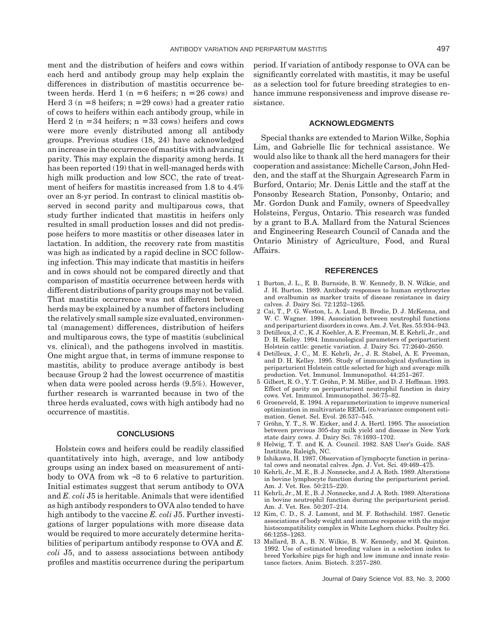ment and the distribution of heifers and cows within each herd and antibody group may help explain the differences in distribution of mastitis occurrence between herds. Herd  $1$  ( $n = 6$  heifers;  $n = 26$  cows) and Herd  $3$  (n = 8 heifers; n = 29 cows) had a greater ratio of cows to heifers within each antibody group, while in Herd 2 ( $n = 34$  heifers;  $n = 33$  cows) heifers and cows were more evenly distributed among all antibody groups. Previous studies (18, 24) have acknowledged an increase in the occurrence of mastitis with advancing parity. This may explain the disparity among herds. It has been reported (19) that in well-managed herds with high milk production and low SCC, the rate of treatment of heifers for mastitis increased from 1.8 to 4.4% over an 8-yr period. In contrast to clinical mastitis observed in second parity and multiparous cows, that study further indicated that mastitis in heifers only resulted in small production losses and did not predispose heifers to more mastitis or other diseases later in lactation. In addition, the recovery rate from mastitis was high as indicated by a rapid decline in SCC following infection. This may indicate that mastitis in heifers and in cows should not be compared directly and that comparison of mastitis occurrence between herds with different distributions of parity groups may not be valid. That mastitis occurrence was not different between herds may be explained by a number of factors including the relatively small sample size evaluated, environmental (management) differences, distribution of heifers and multiparous cows, the type of mastitis (subclinical vs. clinical), and the pathogens involved in mastitis. One might argue that, in terms of immune response to mastitis, ability to produce average antibody is best because Group 2 had the lowest occurrence of mastitis when data were pooled across herds (9.5%). However, further research is warranted because in two of the three herds evaluated, cows with high antibody had no occurrence of mastitis.

# **CONCLUSIONS**

Holstein cows and heifers could be readily classified quantitatively into high, average, and low antibody groups using an index based on measurement of antibody to OVA from wk −3 to 6 relative to parturition. Initial estimates suggest that serum antibody to OVA and *E. coli* J5 is heritable. Animals that were identified as high antibody responders to OVA also tended to have high antibody to the vaccine *E. coli* J5. Further investigations of larger populations with more disease data would be required to more accurately determine heritabilities of peripartum antibody response to OVA and *E. coli* J5, and to assess associations between antibody profiles and mastitis occurrence during the peripartum period. If variation of antibody response to OVA can be significantly correlated with mastitis, it may be useful as a selection tool for future breeding strategies to enhance immune responsiveness and improve disease resistance.

#### **ACKNOWLEDGMENTS**

Special thanks are extended to Marion Wilke, Sophia Lim, and Gabrielle Ilic for technical assistance. We would also like to thank all the herd managers for their cooperation and assistance: Michelle Carson, John Hedden, and the staff at the Shurgain Agresearch Farm in Burford, Ontario; Mr. Denis Little and the staff at the Ponsonby Research Station, Ponsonby, Ontario; and Mr. Gordon Dunk and Family, owners of Speedvalley Holsteins, Fergus, Ontario. This research was funded by a grant to B.A. Mallard from the Natural Sciences and Engineering Research Council of Canada and the Ontario Ministry of Agriculture, Food, and Rural Affairs.

#### **REFERENCES**

- 1 Burton, J. L., E. B. Burnside, B. W. Kennedy, B. N. Wilkie, and J. H. Burton. 1989. Antibody responses to human erythrocytes and ovalbumin as marker traits of disease resistance in dairy calves. J. Dairy Sci. 72:1252–1265.
- 2 Cai, T., P. G. Weston, L. A. Lund, B. Brodie, D. J. McKenna, and W. C. Wagner. 1994. Association between neutrophil functions and periparturient disorders in cows. Am. J. Vet. Res. 55:934–943.
- 3 Detilleux, J. C., K. J. Koehler, A. E. Freeman, M. E. Kehrli, Jr., and D. H. Kelley. 1994. Immunological parameters of periparturient Holstein cattle: genetic variation. J. Dairy Sci. 77:2640–2650.
- 4 Detilleux, J. C., M. E. Kehrli, Jr., J. R. Stabel, A. E. Freeman, and D. H. Kelley. 1995. Study of immunological dysfunction in periparturient Holstein cattle selected for high and average milk production. Vet. Immunol. Immunopathol. 44:251–267.
- 5 Gilbert, R. O., Y. T. Gröhn, P. M. Miller, and D. J. Hoffman. 1993. Effect of parity on periparturient neutrophil function in dairy cows. Vet. Immunol. Immunopathol. 36:75–82.
- 6 Groeneveld, E. 1994. A reparameterization to improve numerical optimization in multivariate REML (co)variance component estimation. Genet. Sel. Evol. 26:537–545.
- 7 Gröhn, Y. T., S. W. Eicker, and J. A. Hertl. 1995. The association between previous 305-day milk yield and disease in New York state dairy cows. J. Dairy Sci. 78:1693–1702.
- 8 Helwig, T. T. and K. A. Council. 1982. SAS User's Guide. SAS Institute, Raleigh, NC.
- 9 Ishikawa, H. 1987. Observation of lymphocyte function in perinatal cows and neonatal calves. Jpn. J. Vet. Sci. 49:469–475.
- 10 Kehrli, Jr., M. E., B. J. Nonnecke, and J. A. Roth. 1989. Alterations in bovine lymphocyte function during the periparturient period. Am. J. Vet. Res. 50:215–220.
- 11 Kehrli, Jr., M. E., B. J. Nonnecke, and J. A. Roth. 1989. Alterations in bovine neutrophil function during the periparturient period. Am. J. Vet. Res. 50:207–214.
- 12 Kim, C. D., S. J. Lamont, and M. F. Rothschild. 1987. Genetic associations of body weight and immune response with the major histocompatibility complex in White Leghorn chicks. Poultry Sci. 66:1258–1263.
- 13 Mallard, B. A., B. N. Wilkie, B. W. Kennedy, and M. Quinton. 1992. Use of estimated breeding values in a selection index to breed Yorkshire pigs for high and low immune and innate resistance factors. Anim. Biotech. 3:257–280.